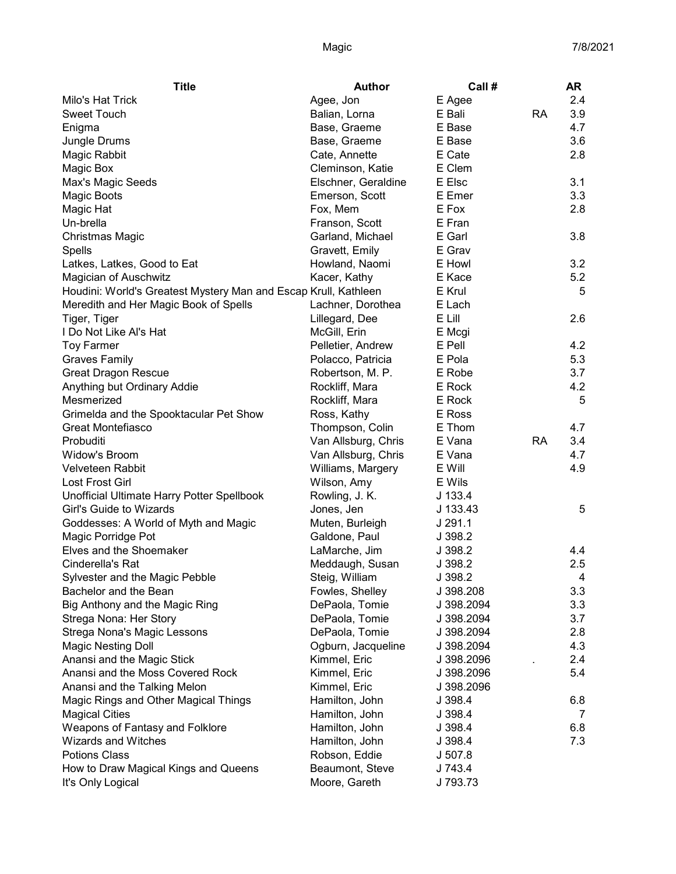| Milo's Hat Trick<br>2.4<br>Agee, Jon<br>E Agee<br><b>Sweet Touch</b><br>E Bali<br><b>RA</b><br>3.9<br>Balian, Lorna<br>4.7<br>E Base<br>Enigma<br>Base, Graeme<br>3.6<br>Jungle Drums<br>E Base<br>Base, Graeme<br>Magic Rabbit<br>Cate, Annette<br>E Cate<br>2.8<br>Cleminson, Katie<br>E Clem<br>Magic Box<br>E Elsc<br>3.1<br>Elschner, Geraldine<br>Max's Magic Seeds<br>3.3<br>E Emer<br>Magic Boots<br>Emerson, Scott<br>Fox, Mem<br>E Fox<br>2.8<br>Magic Hat<br>E Fran<br>Un-brella<br>Franson, Scott<br>Garland, Michael<br>E Garl<br>3.8<br>Christmas Magic<br>Gravett, Emily<br>E Grav<br>Spells<br>Latkes, Latkes, Good to Eat<br>Howland, Naomi<br>E Howl<br>3.2<br><b>Magician of Auschwitz</b><br>Kacer, Kathy<br>E Kace<br>5.2<br>Houdini: World's Greatest Mystery Man and Escap Krull, Kathleen<br>E Krul<br>5<br>Meredith and Her Magic Book of Spells<br>E Lach<br>Lachner, Dorothea<br>E Lill<br>2.6<br>Tiger, Tiger<br>Lillegard, Dee<br>I Do Not Like Al's Hat<br>McGill, Erin<br>E Mcgi<br>4.2<br><b>Toy Farmer</b><br>E Pell<br>Pelletier, Andrew<br><b>Graves Family</b><br>5.3<br>Polacco, Patricia<br>E Pola<br>3.7<br><b>Great Dragon Rescue</b><br>Robertson, M. P.<br>E Robe<br>Anything but Ordinary Addie<br>Rockliff, Mara<br>E Rock<br>4.2<br>Rockliff, Mara<br>E Rock<br>5<br>Mesmerized<br>Grimelda and the Spooktacular Pet Show<br>Ross, Kathy<br>E Ross<br><b>Great Montefiasco</b><br>Thompson, Colin<br>E Thom<br>4.7<br>Van Allsburg, Chris<br><b>RA</b><br>3.4<br>Probuditi<br>E Vana<br>Widow's Broom<br>4.7<br>Van Allsburg, Chris<br>E Vana<br><b>Velveteen Rabbit</b><br>E Will<br>4.9<br>Williams, Margery<br>Lost Frost Girl<br>Wilson, Amy<br>E Wils<br>Unofficial Ultimate Harry Potter Spellbook<br>Rowling, J. K.<br>$J$ 133.4<br>Girl's Guide to Wizards<br>J 133.43<br>5<br>Jones, Jen<br>J291.1<br>Goddesses: A World of Myth and Magic<br>Muten, Burleigh<br>Magic Porridge Pot<br>Galdone, Paul<br>J 398.2<br>Elves and the Shoemaker<br>LaMarche, Jim<br>4.4<br>J 398.2<br>Cinderella's Rat<br>2.5<br>Meddaugh, Susan<br>J 398.2<br>Sylvester and the Magic Pebble<br>Steig, William<br>J 398.2<br>$\overline{4}$<br>3.3<br>Bachelor and the Bean<br>Fowles, Shelley<br>J 398.208<br>Big Anthony and the Magic Ring<br>DePaola, Tomie<br>3.3<br>J 398.2094<br>Strega Nona: Her Story<br>DePaola, Tomie<br>3.7<br>J 398.2094<br>2.8<br>Strega Nona's Magic Lessons<br>DePaola, Tomie<br>J 398.2094<br>4.3<br><b>Magic Nesting Doll</b><br>Ogburn, Jacqueline<br>J 398.2094<br>Anansi and the Magic Stick<br>2.4<br>Kimmel, Eric<br>J 398.2096<br>Anansi and the Moss Covered Rock<br>5.4<br>Kimmel, Eric<br>J 398.2096<br>Anansi and the Talking Melon<br>Kimmel, Eric<br>J 398.2096<br>Hamilton, John<br>Magic Rings and Other Magical Things<br>J 398.4<br>6.8<br>Hamilton, John<br><b>Magical Cities</b><br>J 398.4<br>7<br>Weapons of Fantasy and Folklore<br>Hamilton, John<br>J 398.4<br>6.8<br><b>Wizards and Witches</b><br>Hamilton, John<br>7.3<br>J 398.4<br><b>Potions Class</b><br>Robson, Eddie<br>J 507.8<br>Beaumont, Steve<br>How to Draw Magical Kings and Queens<br>J 743.4 | <b>Title</b>      | Author        | Call #   | AR |
|-----------------------------------------------------------------------------------------------------------------------------------------------------------------------------------------------------------------------------------------------------------------------------------------------------------------------------------------------------------------------------------------------------------------------------------------------------------------------------------------------------------------------------------------------------------------------------------------------------------------------------------------------------------------------------------------------------------------------------------------------------------------------------------------------------------------------------------------------------------------------------------------------------------------------------------------------------------------------------------------------------------------------------------------------------------------------------------------------------------------------------------------------------------------------------------------------------------------------------------------------------------------------------------------------------------------------------------------------------------------------------------------------------------------------------------------------------------------------------------------------------------------------------------------------------------------------------------------------------------------------------------------------------------------------------------------------------------------------------------------------------------------------------------------------------------------------------------------------------------------------------------------------------------------------------------------------------------------------------------------------------------------------------------------------------------------------------------------------------------------------------------------------------------------------------------------------------------------------------------------------------------------------------------------------------------------------------------------------------------------------------------------------------------------------------------------------------------------------------------------------------------------------------------------------------------------------------------------------------------------------------------------------------------------------------------------------------------------------------------------------------------------------------------------------------------------------------------------------------------------------------------------------------------------------------------------------------------------------------------------------------------------------------------------------------------------------------------------------------------------------------------------------------------|-------------------|---------------|----------|----|
|                                                                                                                                                                                                                                                                                                                                                                                                                                                                                                                                                                                                                                                                                                                                                                                                                                                                                                                                                                                                                                                                                                                                                                                                                                                                                                                                                                                                                                                                                                                                                                                                                                                                                                                                                                                                                                                                                                                                                                                                                                                                                                                                                                                                                                                                                                                                                                                                                                                                                                                                                                                                                                                                                                                                                                                                                                                                                                                                                                                                                                                                                                                                                           |                   |               |          |    |
|                                                                                                                                                                                                                                                                                                                                                                                                                                                                                                                                                                                                                                                                                                                                                                                                                                                                                                                                                                                                                                                                                                                                                                                                                                                                                                                                                                                                                                                                                                                                                                                                                                                                                                                                                                                                                                                                                                                                                                                                                                                                                                                                                                                                                                                                                                                                                                                                                                                                                                                                                                                                                                                                                                                                                                                                                                                                                                                                                                                                                                                                                                                                                           |                   |               |          |    |
|                                                                                                                                                                                                                                                                                                                                                                                                                                                                                                                                                                                                                                                                                                                                                                                                                                                                                                                                                                                                                                                                                                                                                                                                                                                                                                                                                                                                                                                                                                                                                                                                                                                                                                                                                                                                                                                                                                                                                                                                                                                                                                                                                                                                                                                                                                                                                                                                                                                                                                                                                                                                                                                                                                                                                                                                                                                                                                                                                                                                                                                                                                                                                           |                   |               |          |    |
|                                                                                                                                                                                                                                                                                                                                                                                                                                                                                                                                                                                                                                                                                                                                                                                                                                                                                                                                                                                                                                                                                                                                                                                                                                                                                                                                                                                                                                                                                                                                                                                                                                                                                                                                                                                                                                                                                                                                                                                                                                                                                                                                                                                                                                                                                                                                                                                                                                                                                                                                                                                                                                                                                                                                                                                                                                                                                                                                                                                                                                                                                                                                                           |                   |               |          |    |
|                                                                                                                                                                                                                                                                                                                                                                                                                                                                                                                                                                                                                                                                                                                                                                                                                                                                                                                                                                                                                                                                                                                                                                                                                                                                                                                                                                                                                                                                                                                                                                                                                                                                                                                                                                                                                                                                                                                                                                                                                                                                                                                                                                                                                                                                                                                                                                                                                                                                                                                                                                                                                                                                                                                                                                                                                                                                                                                                                                                                                                                                                                                                                           |                   |               |          |    |
|                                                                                                                                                                                                                                                                                                                                                                                                                                                                                                                                                                                                                                                                                                                                                                                                                                                                                                                                                                                                                                                                                                                                                                                                                                                                                                                                                                                                                                                                                                                                                                                                                                                                                                                                                                                                                                                                                                                                                                                                                                                                                                                                                                                                                                                                                                                                                                                                                                                                                                                                                                                                                                                                                                                                                                                                                                                                                                                                                                                                                                                                                                                                                           |                   |               |          |    |
|                                                                                                                                                                                                                                                                                                                                                                                                                                                                                                                                                                                                                                                                                                                                                                                                                                                                                                                                                                                                                                                                                                                                                                                                                                                                                                                                                                                                                                                                                                                                                                                                                                                                                                                                                                                                                                                                                                                                                                                                                                                                                                                                                                                                                                                                                                                                                                                                                                                                                                                                                                                                                                                                                                                                                                                                                                                                                                                                                                                                                                                                                                                                                           |                   |               |          |    |
|                                                                                                                                                                                                                                                                                                                                                                                                                                                                                                                                                                                                                                                                                                                                                                                                                                                                                                                                                                                                                                                                                                                                                                                                                                                                                                                                                                                                                                                                                                                                                                                                                                                                                                                                                                                                                                                                                                                                                                                                                                                                                                                                                                                                                                                                                                                                                                                                                                                                                                                                                                                                                                                                                                                                                                                                                                                                                                                                                                                                                                                                                                                                                           |                   |               |          |    |
|                                                                                                                                                                                                                                                                                                                                                                                                                                                                                                                                                                                                                                                                                                                                                                                                                                                                                                                                                                                                                                                                                                                                                                                                                                                                                                                                                                                                                                                                                                                                                                                                                                                                                                                                                                                                                                                                                                                                                                                                                                                                                                                                                                                                                                                                                                                                                                                                                                                                                                                                                                                                                                                                                                                                                                                                                                                                                                                                                                                                                                                                                                                                                           |                   |               |          |    |
|                                                                                                                                                                                                                                                                                                                                                                                                                                                                                                                                                                                                                                                                                                                                                                                                                                                                                                                                                                                                                                                                                                                                                                                                                                                                                                                                                                                                                                                                                                                                                                                                                                                                                                                                                                                                                                                                                                                                                                                                                                                                                                                                                                                                                                                                                                                                                                                                                                                                                                                                                                                                                                                                                                                                                                                                                                                                                                                                                                                                                                                                                                                                                           |                   |               |          |    |
|                                                                                                                                                                                                                                                                                                                                                                                                                                                                                                                                                                                                                                                                                                                                                                                                                                                                                                                                                                                                                                                                                                                                                                                                                                                                                                                                                                                                                                                                                                                                                                                                                                                                                                                                                                                                                                                                                                                                                                                                                                                                                                                                                                                                                                                                                                                                                                                                                                                                                                                                                                                                                                                                                                                                                                                                                                                                                                                                                                                                                                                                                                                                                           |                   |               |          |    |
|                                                                                                                                                                                                                                                                                                                                                                                                                                                                                                                                                                                                                                                                                                                                                                                                                                                                                                                                                                                                                                                                                                                                                                                                                                                                                                                                                                                                                                                                                                                                                                                                                                                                                                                                                                                                                                                                                                                                                                                                                                                                                                                                                                                                                                                                                                                                                                                                                                                                                                                                                                                                                                                                                                                                                                                                                                                                                                                                                                                                                                                                                                                                                           |                   |               |          |    |
|                                                                                                                                                                                                                                                                                                                                                                                                                                                                                                                                                                                                                                                                                                                                                                                                                                                                                                                                                                                                                                                                                                                                                                                                                                                                                                                                                                                                                                                                                                                                                                                                                                                                                                                                                                                                                                                                                                                                                                                                                                                                                                                                                                                                                                                                                                                                                                                                                                                                                                                                                                                                                                                                                                                                                                                                                                                                                                                                                                                                                                                                                                                                                           |                   |               |          |    |
|                                                                                                                                                                                                                                                                                                                                                                                                                                                                                                                                                                                                                                                                                                                                                                                                                                                                                                                                                                                                                                                                                                                                                                                                                                                                                                                                                                                                                                                                                                                                                                                                                                                                                                                                                                                                                                                                                                                                                                                                                                                                                                                                                                                                                                                                                                                                                                                                                                                                                                                                                                                                                                                                                                                                                                                                                                                                                                                                                                                                                                                                                                                                                           |                   |               |          |    |
|                                                                                                                                                                                                                                                                                                                                                                                                                                                                                                                                                                                                                                                                                                                                                                                                                                                                                                                                                                                                                                                                                                                                                                                                                                                                                                                                                                                                                                                                                                                                                                                                                                                                                                                                                                                                                                                                                                                                                                                                                                                                                                                                                                                                                                                                                                                                                                                                                                                                                                                                                                                                                                                                                                                                                                                                                                                                                                                                                                                                                                                                                                                                                           |                   |               |          |    |
|                                                                                                                                                                                                                                                                                                                                                                                                                                                                                                                                                                                                                                                                                                                                                                                                                                                                                                                                                                                                                                                                                                                                                                                                                                                                                                                                                                                                                                                                                                                                                                                                                                                                                                                                                                                                                                                                                                                                                                                                                                                                                                                                                                                                                                                                                                                                                                                                                                                                                                                                                                                                                                                                                                                                                                                                                                                                                                                                                                                                                                                                                                                                                           |                   |               |          |    |
|                                                                                                                                                                                                                                                                                                                                                                                                                                                                                                                                                                                                                                                                                                                                                                                                                                                                                                                                                                                                                                                                                                                                                                                                                                                                                                                                                                                                                                                                                                                                                                                                                                                                                                                                                                                                                                                                                                                                                                                                                                                                                                                                                                                                                                                                                                                                                                                                                                                                                                                                                                                                                                                                                                                                                                                                                                                                                                                                                                                                                                                                                                                                                           |                   |               |          |    |
|                                                                                                                                                                                                                                                                                                                                                                                                                                                                                                                                                                                                                                                                                                                                                                                                                                                                                                                                                                                                                                                                                                                                                                                                                                                                                                                                                                                                                                                                                                                                                                                                                                                                                                                                                                                                                                                                                                                                                                                                                                                                                                                                                                                                                                                                                                                                                                                                                                                                                                                                                                                                                                                                                                                                                                                                                                                                                                                                                                                                                                                                                                                                                           |                   |               |          |    |
|                                                                                                                                                                                                                                                                                                                                                                                                                                                                                                                                                                                                                                                                                                                                                                                                                                                                                                                                                                                                                                                                                                                                                                                                                                                                                                                                                                                                                                                                                                                                                                                                                                                                                                                                                                                                                                                                                                                                                                                                                                                                                                                                                                                                                                                                                                                                                                                                                                                                                                                                                                                                                                                                                                                                                                                                                                                                                                                                                                                                                                                                                                                                                           |                   |               |          |    |
|                                                                                                                                                                                                                                                                                                                                                                                                                                                                                                                                                                                                                                                                                                                                                                                                                                                                                                                                                                                                                                                                                                                                                                                                                                                                                                                                                                                                                                                                                                                                                                                                                                                                                                                                                                                                                                                                                                                                                                                                                                                                                                                                                                                                                                                                                                                                                                                                                                                                                                                                                                                                                                                                                                                                                                                                                                                                                                                                                                                                                                                                                                                                                           |                   |               |          |    |
|                                                                                                                                                                                                                                                                                                                                                                                                                                                                                                                                                                                                                                                                                                                                                                                                                                                                                                                                                                                                                                                                                                                                                                                                                                                                                                                                                                                                                                                                                                                                                                                                                                                                                                                                                                                                                                                                                                                                                                                                                                                                                                                                                                                                                                                                                                                                                                                                                                                                                                                                                                                                                                                                                                                                                                                                                                                                                                                                                                                                                                                                                                                                                           |                   |               |          |    |
|                                                                                                                                                                                                                                                                                                                                                                                                                                                                                                                                                                                                                                                                                                                                                                                                                                                                                                                                                                                                                                                                                                                                                                                                                                                                                                                                                                                                                                                                                                                                                                                                                                                                                                                                                                                                                                                                                                                                                                                                                                                                                                                                                                                                                                                                                                                                                                                                                                                                                                                                                                                                                                                                                                                                                                                                                                                                                                                                                                                                                                                                                                                                                           |                   |               |          |    |
|                                                                                                                                                                                                                                                                                                                                                                                                                                                                                                                                                                                                                                                                                                                                                                                                                                                                                                                                                                                                                                                                                                                                                                                                                                                                                                                                                                                                                                                                                                                                                                                                                                                                                                                                                                                                                                                                                                                                                                                                                                                                                                                                                                                                                                                                                                                                                                                                                                                                                                                                                                                                                                                                                                                                                                                                                                                                                                                                                                                                                                                                                                                                                           |                   |               |          |    |
|                                                                                                                                                                                                                                                                                                                                                                                                                                                                                                                                                                                                                                                                                                                                                                                                                                                                                                                                                                                                                                                                                                                                                                                                                                                                                                                                                                                                                                                                                                                                                                                                                                                                                                                                                                                                                                                                                                                                                                                                                                                                                                                                                                                                                                                                                                                                                                                                                                                                                                                                                                                                                                                                                                                                                                                                                                                                                                                                                                                                                                                                                                                                                           |                   |               |          |    |
|                                                                                                                                                                                                                                                                                                                                                                                                                                                                                                                                                                                                                                                                                                                                                                                                                                                                                                                                                                                                                                                                                                                                                                                                                                                                                                                                                                                                                                                                                                                                                                                                                                                                                                                                                                                                                                                                                                                                                                                                                                                                                                                                                                                                                                                                                                                                                                                                                                                                                                                                                                                                                                                                                                                                                                                                                                                                                                                                                                                                                                                                                                                                                           |                   |               |          |    |
|                                                                                                                                                                                                                                                                                                                                                                                                                                                                                                                                                                                                                                                                                                                                                                                                                                                                                                                                                                                                                                                                                                                                                                                                                                                                                                                                                                                                                                                                                                                                                                                                                                                                                                                                                                                                                                                                                                                                                                                                                                                                                                                                                                                                                                                                                                                                                                                                                                                                                                                                                                                                                                                                                                                                                                                                                                                                                                                                                                                                                                                                                                                                                           |                   |               |          |    |
|                                                                                                                                                                                                                                                                                                                                                                                                                                                                                                                                                                                                                                                                                                                                                                                                                                                                                                                                                                                                                                                                                                                                                                                                                                                                                                                                                                                                                                                                                                                                                                                                                                                                                                                                                                                                                                                                                                                                                                                                                                                                                                                                                                                                                                                                                                                                                                                                                                                                                                                                                                                                                                                                                                                                                                                                                                                                                                                                                                                                                                                                                                                                                           |                   |               |          |    |
|                                                                                                                                                                                                                                                                                                                                                                                                                                                                                                                                                                                                                                                                                                                                                                                                                                                                                                                                                                                                                                                                                                                                                                                                                                                                                                                                                                                                                                                                                                                                                                                                                                                                                                                                                                                                                                                                                                                                                                                                                                                                                                                                                                                                                                                                                                                                                                                                                                                                                                                                                                                                                                                                                                                                                                                                                                                                                                                                                                                                                                                                                                                                                           |                   |               |          |    |
|                                                                                                                                                                                                                                                                                                                                                                                                                                                                                                                                                                                                                                                                                                                                                                                                                                                                                                                                                                                                                                                                                                                                                                                                                                                                                                                                                                                                                                                                                                                                                                                                                                                                                                                                                                                                                                                                                                                                                                                                                                                                                                                                                                                                                                                                                                                                                                                                                                                                                                                                                                                                                                                                                                                                                                                                                                                                                                                                                                                                                                                                                                                                                           |                   |               |          |    |
|                                                                                                                                                                                                                                                                                                                                                                                                                                                                                                                                                                                                                                                                                                                                                                                                                                                                                                                                                                                                                                                                                                                                                                                                                                                                                                                                                                                                                                                                                                                                                                                                                                                                                                                                                                                                                                                                                                                                                                                                                                                                                                                                                                                                                                                                                                                                                                                                                                                                                                                                                                                                                                                                                                                                                                                                                                                                                                                                                                                                                                                                                                                                                           |                   |               |          |    |
|                                                                                                                                                                                                                                                                                                                                                                                                                                                                                                                                                                                                                                                                                                                                                                                                                                                                                                                                                                                                                                                                                                                                                                                                                                                                                                                                                                                                                                                                                                                                                                                                                                                                                                                                                                                                                                                                                                                                                                                                                                                                                                                                                                                                                                                                                                                                                                                                                                                                                                                                                                                                                                                                                                                                                                                                                                                                                                                                                                                                                                                                                                                                                           |                   |               |          |    |
|                                                                                                                                                                                                                                                                                                                                                                                                                                                                                                                                                                                                                                                                                                                                                                                                                                                                                                                                                                                                                                                                                                                                                                                                                                                                                                                                                                                                                                                                                                                                                                                                                                                                                                                                                                                                                                                                                                                                                                                                                                                                                                                                                                                                                                                                                                                                                                                                                                                                                                                                                                                                                                                                                                                                                                                                                                                                                                                                                                                                                                                                                                                                                           |                   |               |          |    |
|                                                                                                                                                                                                                                                                                                                                                                                                                                                                                                                                                                                                                                                                                                                                                                                                                                                                                                                                                                                                                                                                                                                                                                                                                                                                                                                                                                                                                                                                                                                                                                                                                                                                                                                                                                                                                                                                                                                                                                                                                                                                                                                                                                                                                                                                                                                                                                                                                                                                                                                                                                                                                                                                                                                                                                                                                                                                                                                                                                                                                                                                                                                                                           |                   |               |          |    |
|                                                                                                                                                                                                                                                                                                                                                                                                                                                                                                                                                                                                                                                                                                                                                                                                                                                                                                                                                                                                                                                                                                                                                                                                                                                                                                                                                                                                                                                                                                                                                                                                                                                                                                                                                                                                                                                                                                                                                                                                                                                                                                                                                                                                                                                                                                                                                                                                                                                                                                                                                                                                                                                                                                                                                                                                                                                                                                                                                                                                                                                                                                                                                           |                   |               |          |    |
|                                                                                                                                                                                                                                                                                                                                                                                                                                                                                                                                                                                                                                                                                                                                                                                                                                                                                                                                                                                                                                                                                                                                                                                                                                                                                                                                                                                                                                                                                                                                                                                                                                                                                                                                                                                                                                                                                                                                                                                                                                                                                                                                                                                                                                                                                                                                                                                                                                                                                                                                                                                                                                                                                                                                                                                                                                                                                                                                                                                                                                                                                                                                                           |                   |               |          |    |
|                                                                                                                                                                                                                                                                                                                                                                                                                                                                                                                                                                                                                                                                                                                                                                                                                                                                                                                                                                                                                                                                                                                                                                                                                                                                                                                                                                                                                                                                                                                                                                                                                                                                                                                                                                                                                                                                                                                                                                                                                                                                                                                                                                                                                                                                                                                                                                                                                                                                                                                                                                                                                                                                                                                                                                                                                                                                                                                                                                                                                                                                                                                                                           |                   |               |          |    |
|                                                                                                                                                                                                                                                                                                                                                                                                                                                                                                                                                                                                                                                                                                                                                                                                                                                                                                                                                                                                                                                                                                                                                                                                                                                                                                                                                                                                                                                                                                                                                                                                                                                                                                                                                                                                                                                                                                                                                                                                                                                                                                                                                                                                                                                                                                                                                                                                                                                                                                                                                                                                                                                                                                                                                                                                                                                                                                                                                                                                                                                                                                                                                           |                   |               |          |    |
|                                                                                                                                                                                                                                                                                                                                                                                                                                                                                                                                                                                                                                                                                                                                                                                                                                                                                                                                                                                                                                                                                                                                                                                                                                                                                                                                                                                                                                                                                                                                                                                                                                                                                                                                                                                                                                                                                                                                                                                                                                                                                                                                                                                                                                                                                                                                                                                                                                                                                                                                                                                                                                                                                                                                                                                                                                                                                                                                                                                                                                                                                                                                                           |                   |               |          |    |
|                                                                                                                                                                                                                                                                                                                                                                                                                                                                                                                                                                                                                                                                                                                                                                                                                                                                                                                                                                                                                                                                                                                                                                                                                                                                                                                                                                                                                                                                                                                                                                                                                                                                                                                                                                                                                                                                                                                                                                                                                                                                                                                                                                                                                                                                                                                                                                                                                                                                                                                                                                                                                                                                                                                                                                                                                                                                                                                                                                                                                                                                                                                                                           |                   |               |          |    |
|                                                                                                                                                                                                                                                                                                                                                                                                                                                                                                                                                                                                                                                                                                                                                                                                                                                                                                                                                                                                                                                                                                                                                                                                                                                                                                                                                                                                                                                                                                                                                                                                                                                                                                                                                                                                                                                                                                                                                                                                                                                                                                                                                                                                                                                                                                                                                                                                                                                                                                                                                                                                                                                                                                                                                                                                                                                                                                                                                                                                                                                                                                                                                           |                   |               |          |    |
|                                                                                                                                                                                                                                                                                                                                                                                                                                                                                                                                                                                                                                                                                                                                                                                                                                                                                                                                                                                                                                                                                                                                                                                                                                                                                                                                                                                                                                                                                                                                                                                                                                                                                                                                                                                                                                                                                                                                                                                                                                                                                                                                                                                                                                                                                                                                                                                                                                                                                                                                                                                                                                                                                                                                                                                                                                                                                                                                                                                                                                                                                                                                                           |                   |               |          |    |
|                                                                                                                                                                                                                                                                                                                                                                                                                                                                                                                                                                                                                                                                                                                                                                                                                                                                                                                                                                                                                                                                                                                                                                                                                                                                                                                                                                                                                                                                                                                                                                                                                                                                                                                                                                                                                                                                                                                                                                                                                                                                                                                                                                                                                                                                                                                                                                                                                                                                                                                                                                                                                                                                                                                                                                                                                                                                                                                                                                                                                                                                                                                                                           |                   |               |          |    |
|                                                                                                                                                                                                                                                                                                                                                                                                                                                                                                                                                                                                                                                                                                                                                                                                                                                                                                                                                                                                                                                                                                                                                                                                                                                                                                                                                                                                                                                                                                                                                                                                                                                                                                                                                                                                                                                                                                                                                                                                                                                                                                                                                                                                                                                                                                                                                                                                                                                                                                                                                                                                                                                                                                                                                                                                                                                                                                                                                                                                                                                                                                                                                           |                   |               |          |    |
|                                                                                                                                                                                                                                                                                                                                                                                                                                                                                                                                                                                                                                                                                                                                                                                                                                                                                                                                                                                                                                                                                                                                                                                                                                                                                                                                                                                                                                                                                                                                                                                                                                                                                                                                                                                                                                                                                                                                                                                                                                                                                                                                                                                                                                                                                                                                                                                                                                                                                                                                                                                                                                                                                                                                                                                                                                                                                                                                                                                                                                                                                                                                                           |                   |               |          |    |
|                                                                                                                                                                                                                                                                                                                                                                                                                                                                                                                                                                                                                                                                                                                                                                                                                                                                                                                                                                                                                                                                                                                                                                                                                                                                                                                                                                                                                                                                                                                                                                                                                                                                                                                                                                                                                                                                                                                                                                                                                                                                                                                                                                                                                                                                                                                                                                                                                                                                                                                                                                                                                                                                                                                                                                                                                                                                                                                                                                                                                                                                                                                                                           |                   |               |          |    |
|                                                                                                                                                                                                                                                                                                                                                                                                                                                                                                                                                                                                                                                                                                                                                                                                                                                                                                                                                                                                                                                                                                                                                                                                                                                                                                                                                                                                                                                                                                                                                                                                                                                                                                                                                                                                                                                                                                                                                                                                                                                                                                                                                                                                                                                                                                                                                                                                                                                                                                                                                                                                                                                                                                                                                                                                                                                                                                                                                                                                                                                                                                                                                           |                   |               |          |    |
|                                                                                                                                                                                                                                                                                                                                                                                                                                                                                                                                                                                                                                                                                                                                                                                                                                                                                                                                                                                                                                                                                                                                                                                                                                                                                                                                                                                                                                                                                                                                                                                                                                                                                                                                                                                                                                                                                                                                                                                                                                                                                                                                                                                                                                                                                                                                                                                                                                                                                                                                                                                                                                                                                                                                                                                                                                                                                                                                                                                                                                                                                                                                                           |                   |               |          |    |
|                                                                                                                                                                                                                                                                                                                                                                                                                                                                                                                                                                                                                                                                                                                                                                                                                                                                                                                                                                                                                                                                                                                                                                                                                                                                                                                                                                                                                                                                                                                                                                                                                                                                                                                                                                                                                                                                                                                                                                                                                                                                                                                                                                                                                                                                                                                                                                                                                                                                                                                                                                                                                                                                                                                                                                                                                                                                                                                                                                                                                                                                                                                                                           |                   |               |          |    |
|                                                                                                                                                                                                                                                                                                                                                                                                                                                                                                                                                                                                                                                                                                                                                                                                                                                                                                                                                                                                                                                                                                                                                                                                                                                                                                                                                                                                                                                                                                                                                                                                                                                                                                                                                                                                                                                                                                                                                                                                                                                                                                                                                                                                                                                                                                                                                                                                                                                                                                                                                                                                                                                                                                                                                                                                                                                                                                                                                                                                                                                                                                                                                           |                   |               |          |    |
|                                                                                                                                                                                                                                                                                                                                                                                                                                                                                                                                                                                                                                                                                                                                                                                                                                                                                                                                                                                                                                                                                                                                                                                                                                                                                                                                                                                                                                                                                                                                                                                                                                                                                                                                                                                                                                                                                                                                                                                                                                                                                                                                                                                                                                                                                                                                                                                                                                                                                                                                                                                                                                                                                                                                                                                                                                                                                                                                                                                                                                                                                                                                                           |                   |               |          |    |
|                                                                                                                                                                                                                                                                                                                                                                                                                                                                                                                                                                                                                                                                                                                                                                                                                                                                                                                                                                                                                                                                                                                                                                                                                                                                                                                                                                                                                                                                                                                                                                                                                                                                                                                                                                                                                                                                                                                                                                                                                                                                                                                                                                                                                                                                                                                                                                                                                                                                                                                                                                                                                                                                                                                                                                                                                                                                                                                                                                                                                                                                                                                                                           | It's Only Logical | Moore, Gareth | J 793.73 |    |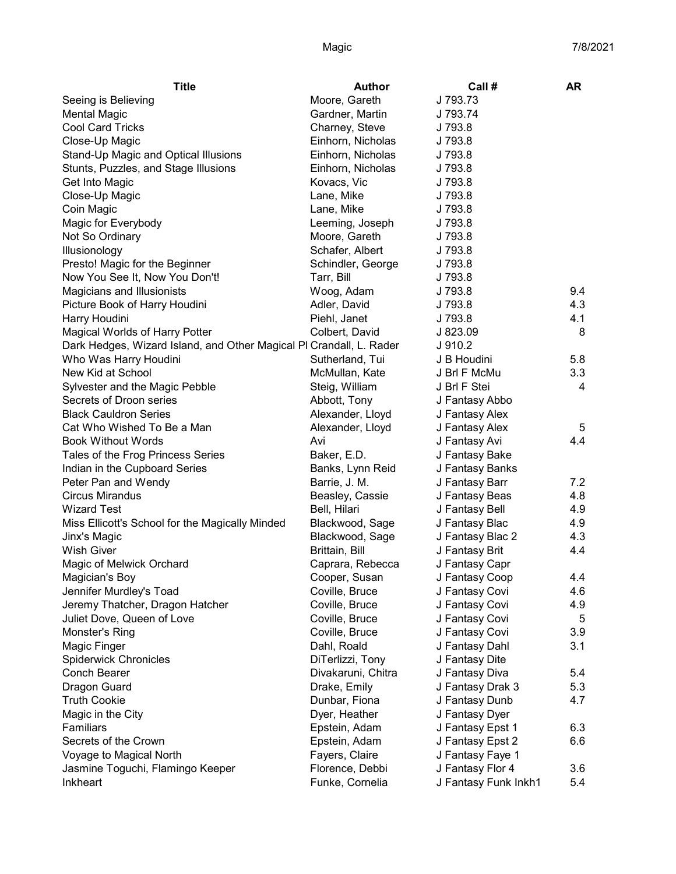| <b>Title</b>                                                        | <b>Author</b>      | Call #               | AR  |
|---------------------------------------------------------------------|--------------------|----------------------|-----|
| Seeing is Believing                                                 | Moore, Gareth      | J 793.73             |     |
| <b>Mental Magic</b>                                                 | Gardner, Martin    | J 793.74             |     |
| <b>Cool Card Tricks</b>                                             | Charney, Steve     | J 793.8              |     |
| Close-Up Magic                                                      | Einhorn, Nicholas  | J 793.8              |     |
| Stand-Up Magic and Optical Illusions                                | Einhorn, Nicholas  | J 793.8              |     |
| Stunts, Puzzles, and Stage Illusions                                | Einhorn, Nicholas  | J 793.8              |     |
| Get Into Magic                                                      | Kovacs, Vic        | J 793.8              |     |
| Close-Up Magic                                                      | Lane, Mike         | J 793.8              |     |
| Coin Magic                                                          | Lane, Mike         | J 793.8              |     |
| Magic for Everybody                                                 | Leeming, Joseph    | J 793.8              |     |
| Not So Ordinary                                                     | Moore, Gareth      | J 793.8              |     |
| Illusionology                                                       | Schafer, Albert    | J 793.8              |     |
| Presto! Magic for the Beginner                                      | Schindler, George  | J 793.8              |     |
| Now You See It, Now You Don't!                                      | Tarr, Bill         | J 793.8              |     |
| Magicians and Illusionists                                          | Woog, Adam         | J 793.8              | 9.4 |
| Picture Book of Harry Houdini                                       | Adler, David       | J 793.8              | 4.3 |
| Harry Houdini                                                       | Piehl, Janet       | J 793.8              | 4.1 |
| Magical Worlds of Harry Potter                                      | Colbert, David     | J 823.09             | 8   |
| Dark Hedges, Wizard Island, and Other Magical PI Crandall, L. Rader |                    | J 910.2              |     |
| Who Was Harry Houdini                                               | Sutherland, Tui    | J B Houdini          | 5.8 |
| New Kid at School                                                   | McMullan, Kate     | J Brl F McMu         | 3.3 |
| Sylvester and the Magic Pebble                                      | Steig, William     | J Brl F Stei         | 4   |
| Secrets of Droon series                                             | Abbott, Tony       | J Fantasy Abbo       |     |
| <b>Black Cauldron Series</b>                                        | Alexander, Lloyd   | J Fantasy Alex       |     |
| Cat Who Wished To Be a Man                                          | Alexander, Lloyd   | J Fantasy Alex       | 5   |
| <b>Book Without Words</b>                                           | Avi                | J Fantasy Avi        | 4.4 |
| Tales of the Frog Princess Series                                   | Baker, E.D.        | J Fantasy Bake       |     |
| Indian in the Cupboard Series                                       | Banks, Lynn Reid   | J Fantasy Banks      |     |
| Peter Pan and Wendy                                                 | Barrie, J. M.      | J Fantasy Barr       | 7.2 |
| <b>Circus Mirandus</b>                                              | Beasley, Cassie    | J Fantasy Beas       | 4.8 |
| <b>Wizard Test</b>                                                  | Bell, Hilari       | J Fantasy Bell       | 4.9 |
| Miss Ellicott's School for the Magically Minded                     | Blackwood, Sage    | J Fantasy Blac       | 4.9 |
| Jinx's Magic                                                        | Blackwood, Sage    | J Fantasy Blac 2     | 4.3 |
| <b>Wish Giver</b>                                                   | Brittain, Bill     | J Fantasy Brit       | 4.4 |
| Magic of Melwick Orchard                                            | Caprara, Rebecca   | J Fantasy Capr       |     |
| Magician's Boy                                                      | Cooper, Susan      | J Fantasy Coop       | 4.4 |
| Jennifer Murdley's Toad                                             | Coville, Bruce     | J Fantasy Covi       | 4.6 |
| Jeremy Thatcher, Dragon Hatcher                                     | Coville, Bruce     | J Fantasy Covi       | 4.9 |
| Juliet Dove, Queen of Love                                          | Coville, Bruce     | J Fantasy Covi       | 5   |
| Monster's Ring                                                      | Coville, Bruce     | J Fantasy Covi       | 3.9 |
| Magic Finger                                                        | Dahl, Roald        | J Fantasy Dahl       | 3.1 |
| <b>Spiderwick Chronicles</b>                                        | DiTerlizzi, Tony   | J Fantasy Dite       |     |
| Conch Bearer                                                        | Divakaruni, Chitra | J Fantasy Diva       | 5.4 |
| Dragon Guard                                                        | Drake, Emily       | J Fantasy Drak 3     | 5.3 |
| <b>Truth Cookie</b>                                                 | Dunbar, Fiona      | J Fantasy Dunb       | 4.7 |
| Magic in the City                                                   | Dyer, Heather      | J Fantasy Dyer       |     |
| Familiars                                                           | Epstein, Adam      | J Fantasy Epst 1     | 6.3 |
| Secrets of the Crown                                                | Epstein, Adam      | J Fantasy Epst 2     | 6.6 |
| Voyage to Magical North                                             | Fayers, Claire     | J Fantasy Faye 1     |     |
| Jasmine Toguchi, Flamingo Keeper                                    | Florence, Debbi    | J Fantasy Flor 4     | 3.6 |
| Inkheart                                                            | Funke, Cornelia    | J Fantasy Funk Inkh1 | 5.4 |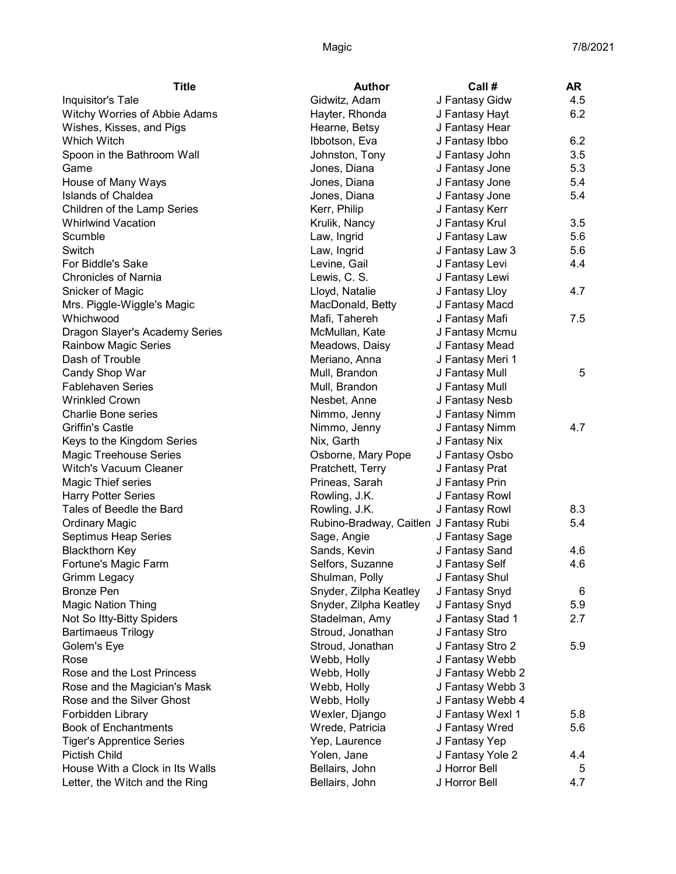| <b>Title</b>                     | <b>Author</b>                          | Call#            | <b>AR</b> |
|----------------------------------|----------------------------------------|------------------|-----------|
| Inquisitor's Tale                | Gidwitz, Adam                          | J Fantasy Gidw   | 4.5       |
| Witchy Worries of Abbie Adams    | Hayter, Rhonda                         | J Fantasy Hayt   | 6.2       |
| Wishes, Kisses, and Pigs         | Hearne, Betsy                          | J Fantasy Hear   |           |
| Which Witch                      | Ibbotson, Eva                          | J Fantasy Ibbo   | 6.2       |
| Spoon in the Bathroom Wall       | Johnston, Tony                         | J Fantasy John   | 3.5       |
| Game                             | Jones, Diana                           | J Fantasy Jone   | 5.3       |
| House of Many Ways               | Jones, Diana                           | J Fantasy Jone   | 5.4       |
| <b>Islands of Chaldea</b>        | Jones, Diana                           | J Fantasy Jone   | 5.4       |
| Children of the Lamp Series      | Kerr, Philip                           | J Fantasy Kerr   |           |
| <b>Whirlwind Vacation</b>        | Krulik, Nancy                          | J Fantasy Krul   | 3.5       |
| Scumble                          | Law, Ingrid                            | J Fantasy Law    | 5.6       |
| Switch                           | Law, Ingrid                            | J Fantasy Law 3  | 5.6       |
| For Biddle's Sake                | Levine, Gail                           | J Fantasy Levi   | 4.4       |
| <b>Chronicles of Narnia</b>      | Lewis, C. S.                           | J Fantasy Lewi   |           |
| Snicker of Magic                 | Lloyd, Natalie                         | J Fantasy Lloy   | 4.7       |
| Mrs. Piggle-Wiggle's Magic       | MacDonald, Betty                       | J Fantasy Macd   |           |
| Whichwood                        | Mafi, Tahereh                          | J Fantasy Mafi   | 7.5       |
| Dragon Slayer's Academy Series   | McMullan, Kate                         | J Fantasy Mcmu   |           |
| <b>Rainbow Magic Series</b>      | Meadows, Daisy                         | J Fantasy Mead   |           |
| Dash of Trouble                  | Meriano, Anna                          | J Fantasy Meri 1 |           |
| Candy Shop War                   | Mull, Brandon                          | J Fantasy Mull   | 5         |
| <b>Fablehaven Series</b>         | Mull, Brandon                          | J Fantasy Mull   |           |
| <b>Wrinkled Crown</b>            | Nesbet, Anne                           | J Fantasy Nesb   |           |
| <b>Charlie Bone series</b>       | Nimmo, Jenny                           | J Fantasy Nimm   |           |
| <b>Griffin's Castle</b>          | Nimmo, Jenny                           | J Fantasy Nimm   | 4.7       |
| Keys to the Kingdom Series       | Nix, Garth                             | J Fantasy Nix    |           |
| Magic Treehouse Series           | Osborne, Mary Pope                     | J Fantasy Osbo   |           |
| <b>Witch's Vacuum Cleaner</b>    | Pratchett, Terry                       | J Fantasy Prat   |           |
| Magic Thief series               | Prineas, Sarah                         | J Fantasy Prin   |           |
| <b>Harry Potter Series</b>       | Rowling, J.K.                          | J Fantasy Rowl   |           |
| Tales of Beedle the Bard         | Rowling, J.K.                          | J Fantasy Rowl   | 8.3       |
| <b>Ordinary Magic</b>            | Rubino-Bradway, Caitlen J Fantasy Rubi |                  | 5.4       |
| Septimus Heap Series             | Sage, Angie                            | J Fantasy Sage   |           |
| <b>Blackthorn Key</b>            | Sands, Kevin                           | J Fantasy Sand   | 4.6       |
| Fortune's Magic Farm             | Selfors, Suzanne                       | J Fantasy Self   | 4.6       |
| Grimm Legacy                     | Shulman, Polly                         | J Fantasy Shul   |           |
| <b>Bronze Pen</b>                | Snyder, Zilpha Keatley                 | J Fantasy Snyd   | 6         |
| <b>Magic Nation Thing</b>        | Snyder, Zilpha Keatley                 | J Fantasy Snyd   | 5.9       |
| Not So Itty-Bitty Spiders        | Stadelman, Amy                         | J Fantasy Stad 1 | 2.7       |
| <b>Bartimaeus Trilogy</b>        | Stroud, Jonathan                       | J Fantasy Stro   |           |
| Golem's Eye                      | Stroud, Jonathan                       | J Fantasy Stro 2 | 5.9       |
| Rose                             | Webb, Holly                            | J Fantasy Webb   |           |
| Rose and the Lost Princess       | Webb, Holly                            | J Fantasy Webb 2 |           |
| Rose and the Magician's Mask     | Webb, Holly                            | J Fantasy Webb 3 |           |
| Rose and the Silver Ghost        | Webb, Holly                            | J Fantasy Webb 4 |           |
| Forbidden Library                | Wexler, Django                         | J Fantasy Wexl 1 | 5.8       |
| <b>Book of Enchantments</b>      | Wrede, Patricia                        | J Fantasy Wred   | 5.6       |
| <b>Tiger's Apprentice Series</b> | Yep, Laurence                          | J Fantasy Yep    |           |
| <b>Pictish Child</b>             | Yolen, Jane                            | J Fantasy Yole 2 | 4.4       |
| House With a Clock in Its Walls  | Bellairs, John                         | J Horror Bell    | 5         |
| Letter, the Witch and the Ring   | Bellairs, John                         | J Horror Bell    | 4.7       |